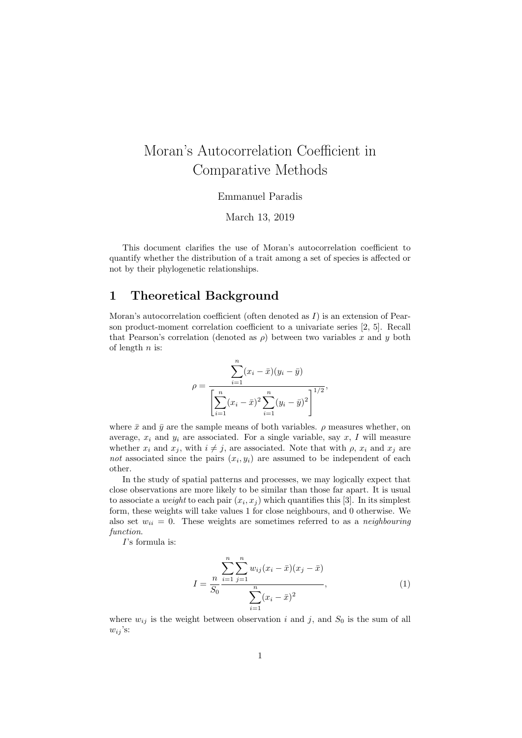# Moran's Autocorrelation Coefficient in Comparative Methods

Emmanuel Paradis

March 13, 2019

This document clarifies the use of Moran's autocorrelation coefficient to quantify whether the distribution of a trait among a set of species is affected or not by their phylogenetic relationships.

# 1 Theoretical Background

Moran's autocorrelation coefficient (often denoted as  $I$ ) is an extension of Pearson product-moment correlation coefficient to a univariate series [2, 5]. Recall that Pearson's correlation (denoted as  $\rho$ ) between two variables x and y both of length  $n$  is:

$$
\rho = \frac{\sum_{i=1}^{n} (x_i - \bar{x})(y_i - \bar{y})}{\left[\sum_{i=1}^{n} (x_i - \bar{x})^2 \sum_{i=1}^{n} (y_i - \bar{y})^2\right]^{1/2}},
$$

where  $\bar{x}$  and  $\bar{y}$  are the sample means of both variables.  $\rho$  measures whether, on average,  $x_i$  and  $y_i$  are associated. For a single variable, say  $x$ , I will measure whether  $x_i$  and  $x_j$ , with  $i \neq j$ , are associated. Note that with  $\rho$ ,  $x_i$  and  $x_j$  are not associated since the pairs  $(x_i, y_i)$  are assumed to be independent of each other.

In the study of spatial patterns and processes, we may logically expect that close observations are more likely to be similar than those far apart. It is usual to associate a *weight* to each pair  $(x_i, x_j)$  which quantifies this [3]. In its simplest form, these weights will take values 1 for close neighbours, and 0 otherwise. We also set  $w_{ii} = 0$ . These weights are sometimes referred to as a neighbouring function.

I's formula is:

$$
I = \frac{\sum_{i=1}^{n} \sum_{j=1}^{n} w_{ij} (x_i - \bar{x})(x_j - \bar{x})}{\sum_{i=1}^{n} (x_i - \bar{x})^2},
$$
\n(1)

where  $w_{ij}$  is the weight between observation i and j, and  $S_0$  is the sum of all  $w_{ij}$ 's: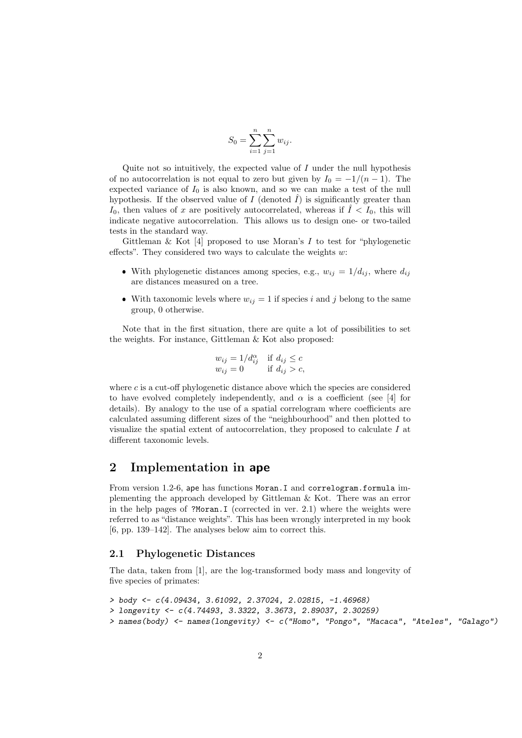$$
S_0 = \sum_{i=1}^n \sum_{j=1}^n w_{ij}.
$$

Quite not so intuitively, the expected value of  $I$  under the null hypothesis of no autocorrelation is not equal to zero but given by  $I_0 = -1/(n-1)$ . The expected variance of  $I_0$  is also known, and so we can make a test of the null hypothesis. If the observed value of I (denoted  $\hat{I}$ ) is significantly greater than  $I_0$ , then values of x are positively autocorrelated, whereas if  $\hat{I} < I_0$ , this will indicate negative autocorrelation. This allows us to design one- or two-tailed tests in the standard way.

Gittleman & Kot  $[4]$  proposed to use Moran's I to test for "phylogenetic effects". They considered two ways to calculate the weights  $w$ :

- With phylogenetic distances among species, e.g.,  $w_{ij} = 1/d_{ij}$ , where  $d_{ij}$ are distances measured on a tree.
- With taxonomic levels where  $w_{ij} = 1$  if species i and j belong to the same group, 0 otherwise.

Note that in the first situation, there are quite a lot of possibilities to set the weights. For instance, Gittleman & Kot also proposed:

$$
w_{ij} = 1/d_{ij}^{\alpha} \quad \text{if } d_{ij} \le c
$$
  

$$
w_{ij} = 0 \quad \text{if } d_{ij} > c,
$$

where  $c$  is a cut-off phylogenetic distance above which the species are considered to have evolved completely independently, and  $\alpha$  is a coefficient (see [4] for details). By analogy to the use of a spatial correlogram where coefficients are calculated assuming different sizes of the "neighbourhood" and then plotted to visualize the spatial extent of autocorrelation, they proposed to calculate I at different taxonomic levels.

### 2 Implementation in ape

From version 1.2-6, ape has functions Moran.I and correlogram.formula implementing the approach developed by Gittleman & Kot. There was an error in the help pages of ?Moran.I (corrected in ver. 2.1) where the weights were referred to as "distance weights". This has been wrongly interpreted in my book [6, pp. 139–142]. The analyses below aim to correct this.

#### 2.1 Phylogenetic Distances

The data, taken from [1], are the log-transformed body mass and longevity of five species of primates:

```
> body <- c(4.09434, 3.61092, 2.37024, 2.02815, -1.46968)
> longevity <- c(4.74493, 3.3322, 3.3673, 2.89037, 2.30259)
> names(body) <- names(longevity) <- c("Homo", "Pongo", "Macaca", "Ateles", "Galago")
```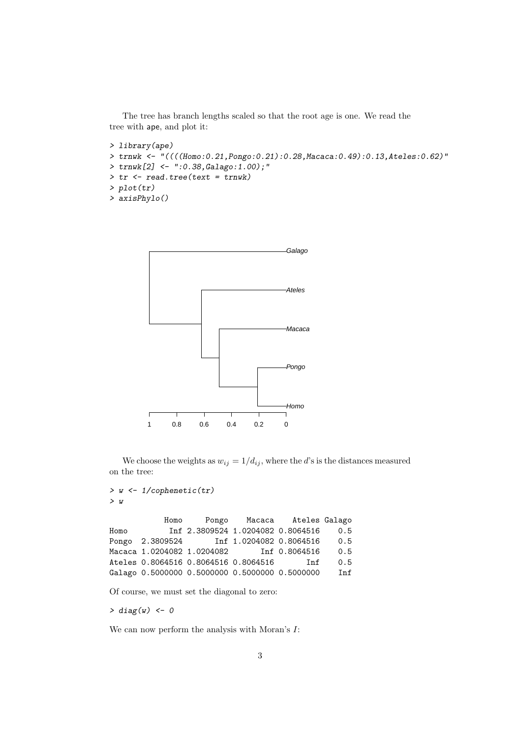The tree has branch lengths scaled so that the root age is one. We read the tree with ape, and plot it:

```
> library(ape)
> trnwk <- "((((Homo:0.21,Pongo:0.21):0.28,Macaca:0.49):0.13,Ateles:0.62)"
> trnwk[2] <- ":0.38,Galago:1.00);"
> tr <- read.tree(text = trnwk)
> plot(tr)> axisPhylo()
```


We choose the weights as  $w_{ij} = 1/d_{ij}$ , where the d's is the distances measured on the tree:

> w <- 1/cophenetic(tr) > w

Homo Pongo Macaca Ateles Galago Homo Inf 2.3809524 1.0204082 0.8064516 0.5 Pongo 2.3809524 Inf 1.0204082 0.8064516 0.5 Macaca 1.0204082 1.0204082 Inf 0.8064516 0.5 Ateles 0.8064516 0.8064516 0.8064516 Inf 0.5 Galago 0.5000000 0.5000000 0.5000000 0.5000000 Inf

Of course, we must set the diagonal to zero:

 $> diag(w) < -0$ 

We can now perform the analysis with Moran's  $I$ :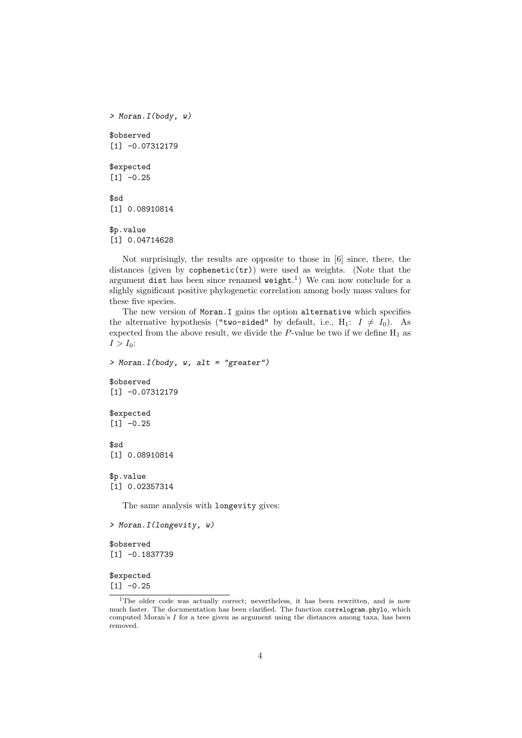```
> Moran.I(body, w)
$observed
[1] -0.07312179$expected
[1] -0.25$sd
[1] 0.08910814
$p.value
[1] 0.04714628
```
Not surprisingly, the results are opposite to those in [6] since, there, the distances (given by cophenetic $(tr)$ ) were used as weights. (Note that the argument dist has been since renamed  $weight.^1$ ) We can now conclude for a slighly significant positive phylogenetic correlation among body mass values for these five species.

The new version of Moran. I gains the option alternative which specifies the alternative hypothesis ("two-sided" by default, i.e.,  $H_1: I \neq I_0$ ). As expected from the above result, we divide the  $P$ -value be two if we define  $H_1$  as  $I > I_0$ :

 $>$  Moran. I(body, w, alt = "greater") \$observed [1] -0.07312179 \$expected

 $[1] -0.25$ 

\$sd [1] 0.08910814

\$p.value [1] 0.02357314

The same analysis with longevity gives:

```
> Moran.I(longevity, w)
```

```
$observed
[1] -0.1837739
```
\$expected  $[1] -0.25$ 

<sup>&</sup>lt;sup>1</sup>The older code was actually correct; nevertheless, it has been rewritten, and is now much faster. The documentation has been clarified. The function correlogram.phylo, which computed Moran's I for a tree given as argument using the distances among taxa, has been removed.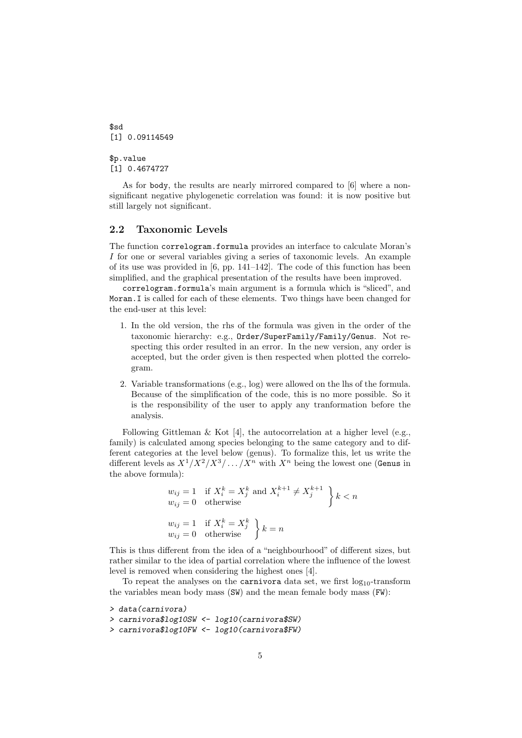$$sd$ [1] 0.09114549 \$p.value

[1] 0.4674727

As for body, the results are nearly mirrored compared to [6] where a nonsignificant negative phylogenetic correlation was found: it is now positive but still largely not significant.

#### 2.2 Taxonomic Levels

The function correlogram.formula provides an interface to calculate Moran's I for one or several variables giving a series of taxonomic levels. An example of its use was provided in [6, pp. 141–142]. The code of this function has been simplified, and the graphical presentation of the results have been improved.

correlogram.formula's main argument is a formula which is "sliced", and Moran.I is called for each of these elements. Two things have been changed for the end-user at this level:

- 1. In the old version, the rhs of the formula was given in the order of the taxonomic hierarchy: e.g., Order/SuperFamily/Family/Genus. Not respecting this order resulted in an error. In the new version, any order is accepted, but the order given is then respected when plotted the correlogram.
- 2. Variable transformations (e.g., log) were allowed on the lhs of the formula. Because of the simplification of the code, this is no more possible. So it is the responsibility of the user to apply any tranformation before the analysis.

Following Gittleman & Kot [4], the autocorrelation at a higher level (e.g., family) is calculated among species belonging to the same category and to different categories at the level below (genus). To formalize this, let us write the different levels as  $X^1/X^2/X^3/\ldots/X^n$  with  $X^n$  being the lowest one (Genus in the above formula):

$$
w_{ij} = 1 \quad \text{if } X_i^k = X_j^k \text{ and } X_i^{k+1} \neq X_j^{k+1}
$$
\n
$$
w_{ij} = 0 \quad \text{otherwise}
$$
\n
$$
w_{ij} = 1 \quad \text{if } X_i^k = X_j^k
$$
\n
$$
w_{ij} = 0 \quad \text{otherwise}
$$
\n
$$
k = n
$$

This is thus different from the idea of a "neighbourhood" of different sizes, but rather similar to the idea of partial correlation where the influence of the lowest level is removed when considering the highest ones [4].

To repeat the analyses on the carnivora data set, we first  $log_{10}$ -transform the variables mean body mass (SW) and the mean female body mass (FW):

```
> data(carnivora)
> carnivora$log10SW <- log10(carnivora$SW)
> carnivora$log10FW <- log10(carnivora$FW)
```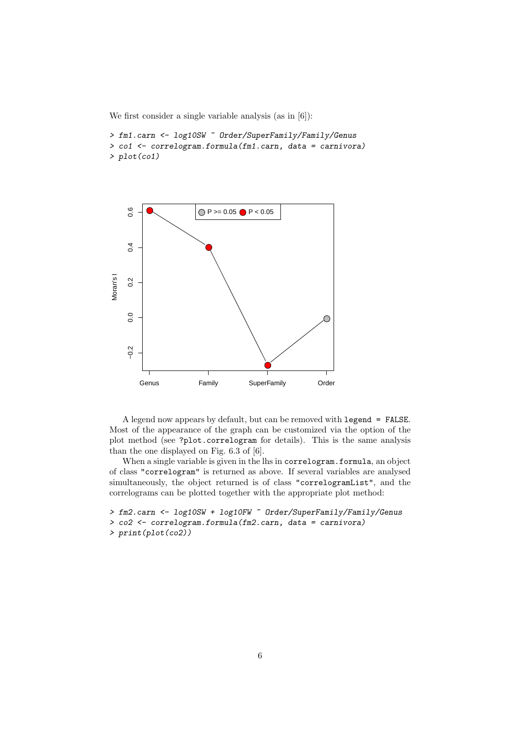We first consider a single variable analysis (as in [6]):

```
> fm1.carn <- log10SW ~ Order/SuperFamily/Family/Genus
> co1 <- correlogram.formula(fm1.carn, data = carnivora)
> plot(co1)
```


A legend now appears by default, but can be removed with legend = FALSE. Most of the appearance of the graph can be customized via the option of the plot method (see ?plot.correlogram for details). This is the same analysis than the one displayed on Fig. 6.3 of [6].

When a single variable is given in the lhs in correlogram.formula, an object of class "correlogram" is returned as above. If several variables are analysed simultaneously, the object returned is of class "correlogramList", and the correlograms can be plotted together with the appropriate plot method:

```
> fm2.carn <- log10SW + log10FW ~ Order/SuperFamily/Family/Genus
> co2 <- correlogram.formula(fm2.carn, data = carnivora)
> print(plot(co2))
```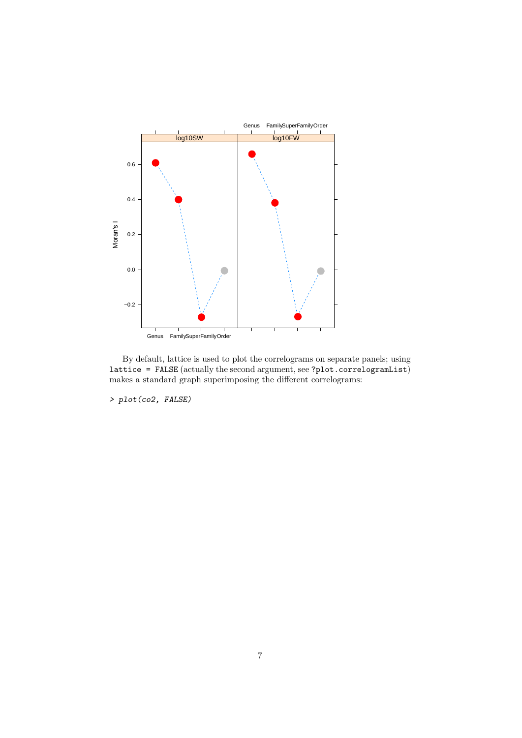

By default, lattice is used to plot the correlograms on separate panels; using lattice = FALSE (actually the second argument, see ?plot.correlogramList) makes a standard graph superimposing the different correlograms:

> plot(co2, FALSE)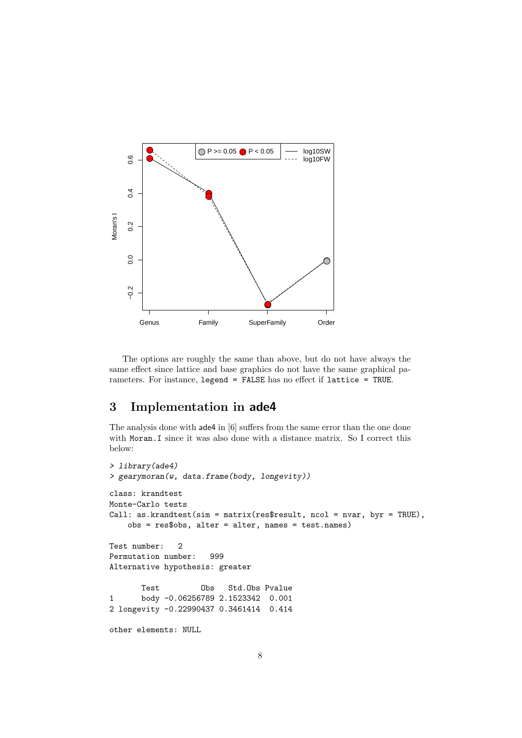

The options are roughly the same than above, but do not have always the same effect since lattice and base graphics do not have the same graphical parameters. For instance, legend = FALSE has no effect if lattice = TRUE.

## 3 Implementation in ade4

The analysis done with ade4 in [6] suffers from the same error than the one done with Moran.I since it was also done with a distance matrix. So I correct this below:

```
> library(ade4)
> gearymoran(w, data.frame(body, longevity))
class: krandtest
Monte-Carlo tests
Call: as.krandtest(sim = matrix(res$result, ncol = nvar, byr = TRUE),
   obs = res$obs, alter = alter, names = test.names)
Test number: 2
Permutation number: 999
Alternative hypothesis: greater
      Test Obs Std.Obs Pvalue
1 body -0.06256789 2.1523342 0.001
2 longevity -0.22990437 0.3461414 0.414
other elements: NULL
```